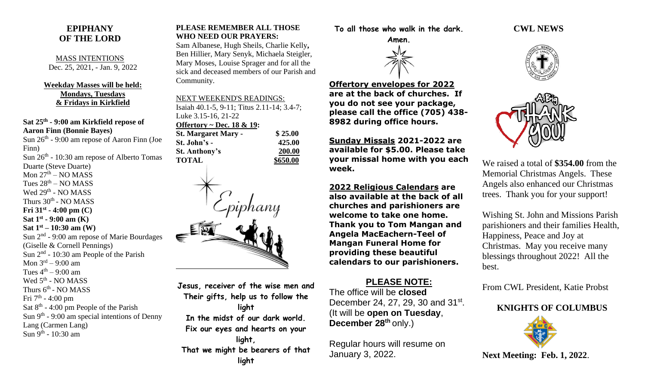### **EPIPHANY OF THE LORD**

MASS INTENTIONS Dec. 25, 2021, - Jan. 9, 2022

#### **Weekday Masses will be held: Mondays, Tuesdays & Fridays in Kirkfield**

**Sat 25th - 9:00 am Kirkfield repose of Aaron Finn (Bonnie Bayes)**

Sun 26<sup>th</sup> - 9:00 am repose of Aaron Finn (Joe Finn) Sun  $26<sup>th</sup>$  - 10:30 am repose of Alberto Tomas Duarte (Steve Duarte) Mon 27<sup>th</sup> – NO MASS Tues  $28<sup>th</sup> - NO MASS$ Wed 29<sup>th</sup> - NO MASS Thurs 30<sup>th</sup> - NO MASS **Fri 31st - 4:00 pm (C) Sat 1 st - 9:00 am (K) Sat 1st – 10:30 am (W)** Sun 2<sup>nd</sup> - 9:00 am repose of Marie Bourdages (Giselle & Cornell Pennings) Sun  $2<sup>nd</sup>$  - 10:30 am People of the Parish Mon 3<sup>rd</sup> – 9:00 am Tues  $4^{\text{th}} - 9:00$  am Wed 5<sup>th</sup> - NO MASS Thurs  $6^{\text{th}}$  - NO MASS Fri 7<sup>th</sup> - 4:00 pm Sat  $8<sup>th</sup> - 4:00$  pm People of the Parish Sun 9<sup>th</sup> - 9:00 am special intentions of Denny Lang (Carmen Lang) Sun 9<sup>th</sup> - 10:30 am

#### **PLEASE REMEMBER ALL THOSE WHO NEED OUR PRAYERS:**

Sam Albanese, Hugh Sheils, Charlie Kelly**,**  Ben Hillier, Mary Senyk, Michaela Steigler, Mary Moses, Louise Sprager and for all the sick and deceased members of our Parish and Community.

| <b>NEXT WEEKEND'S READINGS:</b>            |          |
|--------------------------------------------|----------|
| Isaiah 40.1-5, 9-11; Titus 2.11-14; 3.4-7; |          |
| Luke 3.15-16, 21-22                        |          |
| Offertory ~ Dec. $18 \& 19$ :              |          |
| <b>St. Margaret Mary -</b>                 | \$25.00  |
| St. John's -                               | 425.00   |
| <b>St. Anthony's</b>                       | 200.00   |
| <b>TOTAL</b>                               | \$650.00 |
|                                            |          |



**Jesus, receiver of the wise men and Their gifts, help us to follow the light In the midst of our dark world. Fix our eyes and hearts on your light, That we might be bearers of that** 

**To all those who walk in the dark.**



**Offertory envelopes for 2022 are at the back of churches. If you do not see your package, please call the office (705) 438- 8982 during office hours.**

**Sunday Missals 2021-2022 are available for \$5.00. Please take your missal home with you each week.**

**2022 Religious Calendars are also available at the back of all churches and parishioners are welcome to take one home. Thank you to Tom Mangan and Angela MacEachern-Teel of Mangan Funeral Home for providing these beautiful calendars to our parishioners.**

# **PLEASE NOTE:**

The office will be **closed** December 24, 27, 29, 30 and 31st. (It will be **open on Tuesday**, **December 28th** only.)

Regular hours will resume on January 3, 2022.

### **CWL NEWS**





We raised a total of **\$354.00** from the Memorial Christmas Angels. These Angels also enhanced our Christmas trees. Thank you for your support!

Wishing St. John and Missions Parish parishioners and their families Health, Happiness, Peace and Joy at Christmas. May you receive many blessings throughout 2022! All the best.

From CWL President, Katie Probst

# **KNIGHTS OF COLUMBUS**



**Next Meeting: Feb. 1, 2022**.